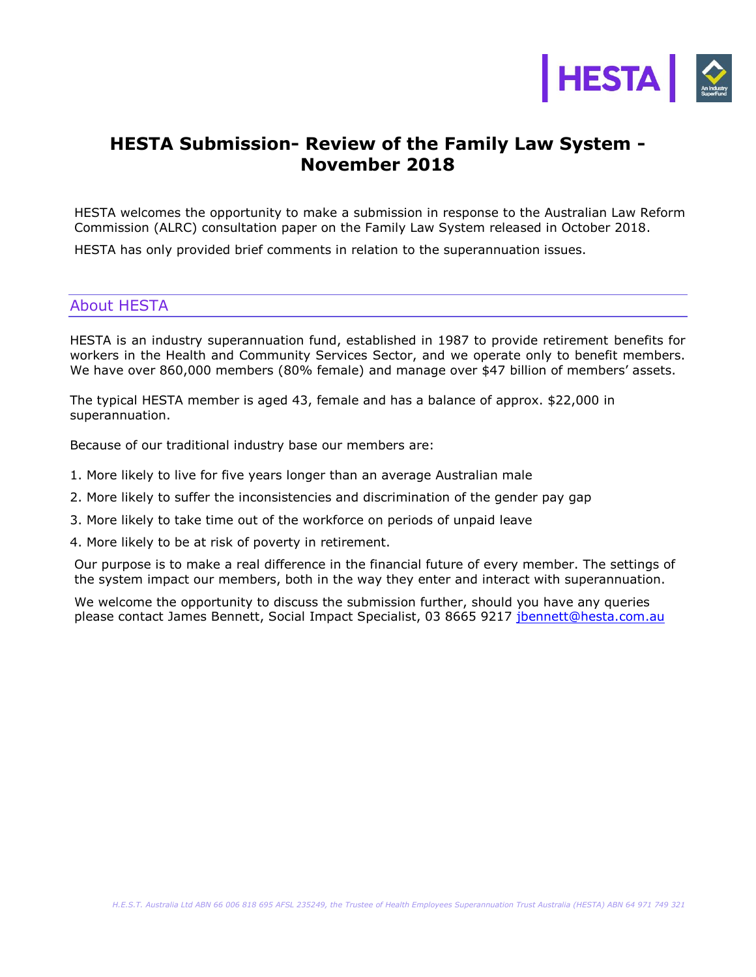

## **HESTA Submission- Review of the Family Law System - November 2018**

HESTA welcomes the opportunity to make a submission in response to the Australian Law Reform Commission (ALRC) consultation paper on the Family Law System released in October 2018.

HESTA has only provided brief comments in relation to the superannuation issues.

## About HESTA

HESTA is an industry superannuation fund, established in 1987 to provide retirement benefits for workers in the Health and Community Services Sector, and we operate only to benefit members. We have over 860,000 members (80% female) and manage over \$47 billion of members' assets.

The typical HESTA member is aged 43, female and has a balance of approx. \$22,000 in superannuation.

Because of our traditional industry base our members are:

- 1. More likely to live for five years longer than an average Australian male
- 2. More likely to suffer the inconsistencies and discrimination of the gender pay gap
- 3. More likely to take time out of the workforce on periods of unpaid leave

4. More likely to be at risk of poverty in retirement.

Our purpose is to make a real difference in the financial future of every member. The settings of the system impact our members, both in the way they enter and interact with superannuation.

We welcome the opportunity to discuss the submission further, should you have any queries please contact James Bennett, Social Impact Specialist, 03 8665 9217 [jbennett@hesta.com.au](mailto:jbennett@hesta.com.au)